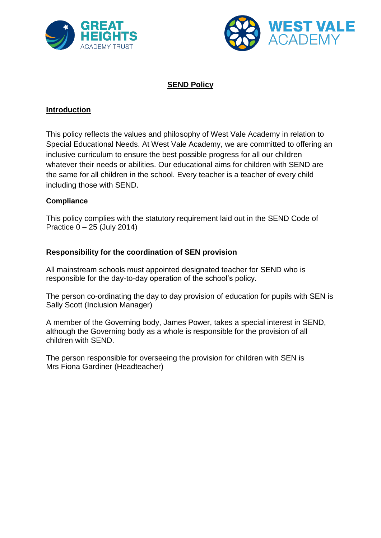



## **SEND Policy**

### **Introduction**

This policy reflects the values and philosophy of West Vale Academy in relation to Special Educational Needs. At West Vale Academy, we are committed to offering an inclusive curriculum to ensure the best possible progress for all our children whatever their needs or abilities. Our educational aims for children with SEND are the same for all children in the school. Every teacher is a teacher of every child including those with SEND.

#### **Compliance**

This policy complies with the statutory requirement laid out in the SEND Code of Practice 0 – 25 (July 2014)

#### **Responsibility for the coordination of SEN provision**

All mainstream schools must appointed designated teacher for SEND who is responsible for the day-to-day operation of the school's policy.

The person co-ordinating the day to day provision of education for pupils with SEN is Sally Scott (Inclusion Manager)

A member of the Governing body, James Power, takes a special interest in SEND, although the Governing body as a whole is responsible for the provision of all children with SEND.

The person responsible for overseeing the provision for children with SEN is Mrs Fiona Gardiner (Headteacher)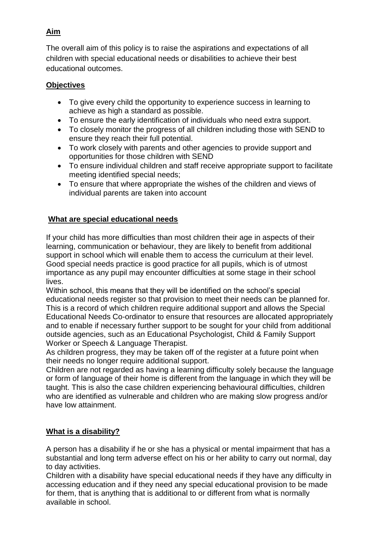## **Aim**

The overall aim of this policy is to raise the aspirations and expectations of all children with special educational needs or disabilities to achieve their best educational outcomes.

## **Objectives**

- To give every child the opportunity to experience success in learning to achieve as high a standard as possible.
- To ensure the early identification of individuals who need extra support.
- To closely monitor the progress of all children including those with SEND to ensure they reach their full potential.
- To work closely with parents and other agencies to provide support and opportunities for those children with SEND
- To ensure individual children and staff receive appropriate support to facilitate meeting identified special needs;
- To ensure that where appropriate the wishes of the children and views of individual parents are taken into account

## **What are special educational needs**

If your child has more difficulties than most children their age in aspects of their learning, communication or behaviour, they are likely to benefit from additional support in school which will enable them to access the curriculum at their level. Good special needs practice is good practice for all pupils, which is of utmost importance as any pupil may encounter difficulties at some stage in their school lives.

Within school, this means that they will be identified on the school's special educational needs register so that provision to meet their needs can be planned for. This is a record of which children require additional support and allows the Special Educational Needs Co-ordinator to ensure that resources are allocated appropriately and to enable if necessary further support to be sought for your child from additional outside agencies, such as an Educational Psychologist, Child & Family Support Worker or Speech & Language Therapist.

As children progress, they may be taken off of the register at a future point when their needs no longer require additional support.

Children are not regarded as having a learning difficulty solely because the language or form of language of their home is different from the language in which they will be taught. This is also the case children experiencing behavioural difficulties, children who are identified as vulnerable and children who are making slow progress and/or have low attainment.

# **What is a disability?**

A person has a disability if he or she has a physical or mental impairment that has a substantial and long term adverse effect on his or her ability to carry out normal, day to day activities.

Children with a disability have special educational needs if they have any difficulty in accessing education and if they need any special educational provision to be made for them, that is anything that is additional to or different from what is normally available in school.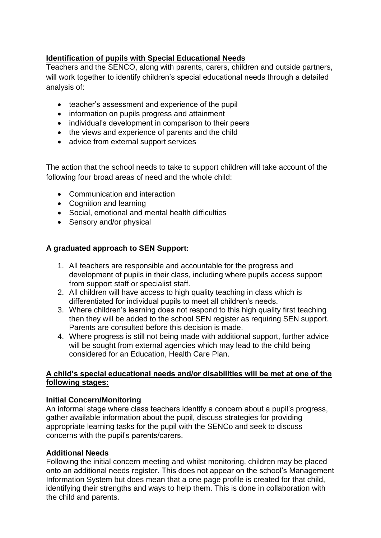## **Identification of pupils with Special Educational Needs**

Teachers and the SENCO, along with parents, carers, children and outside partners, will work together to identify children's special educational needs through a detailed analysis of:

- teacher's assessment and experience of the pupil
- information on pupils progress and attainment
- individual's development in comparison to their peers
- the views and experience of parents and the child
- advice from external support services

The action that the school needs to take to support children will take account of the following four broad areas of need and the whole child:

- Communication and interaction
- Cognition and learning
- Social, emotional and mental health difficulties
- Sensory and/or physical

## **A graduated approach to SEN Support:**

- 1. All teachers are responsible and accountable for the progress and development of pupils in their class, including where pupils access support from support staff or specialist staff.
- 2. All children will have access to high quality teaching in class which is differentiated for individual pupils to meet all children's needs.
- 3. Where children's learning does not respond to this high quality first teaching then they will be added to the school SEN register as requiring SEN support. Parents are consulted before this decision is made.
- 4. Where progress is still not being made with additional support, further advice will be sought from external agencies which may lead to the child being considered for an Education, Health Care Plan.

## **A child's special educational needs and/or disabilities will be met at one of the following stages:**

## **Initial Concern/Monitoring**

An informal stage where class teachers identify a concern about a pupil's progress, gather available information about the pupil, discuss strategies for providing appropriate learning tasks for the pupil with the SENCo and seek to discuss concerns with the pupil's parents/carers.

## **Additional Needs**

Following the initial concern meeting and whilst monitoring, children may be placed onto an additional needs register. This does not appear on the school's Management Information System but does mean that a one page profile is created for that child, identifying their strengths and ways to help them. This is done in collaboration with the child and parents.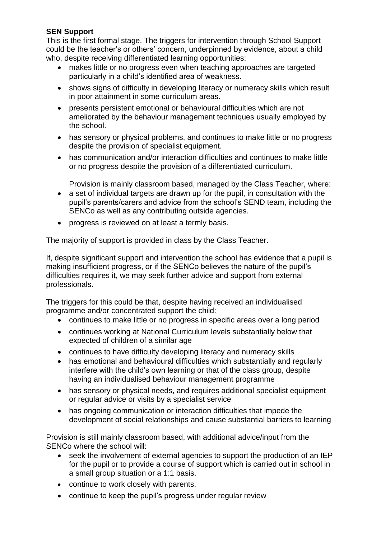### **SEN Support**

This is the first formal stage. The triggers for intervention through School Support could be the teacher's or others' concern, underpinned by evidence, about a child who, despite receiving differentiated learning opportunities:

- makes little or no progress even when teaching approaches are targeted particularly in a child's identified area of weakness.
- shows signs of difficulty in developing literacy or numeracy skills which result in poor attainment in some curriculum areas.
- presents persistent emotional or behavioural difficulties which are not ameliorated by the behaviour management techniques usually employed by the school.
- has sensory or physical problems, and continues to make little or no progress despite the provision of specialist equipment.
- has communication and/or interaction difficulties and continues to make little or no progress despite the provision of a differentiated curriculum.

Provision is mainly classroom based, managed by the Class Teacher, where:

- a set of individual targets are drawn up for the pupil, in consultation with the pupil's parents/carers and advice from the school's SEND team, including the SENCo as well as any contributing outside agencies.
- progress is reviewed on at least a termly basis.

The majority of support is provided in class by the Class Teacher.

If, despite significant support and intervention the school has evidence that a pupil is making insufficient progress, or if the SENCo believes the nature of the pupil's difficulties requires it, we may seek further advice and support from external professionals.

The triggers for this could be that, despite having received an individualised programme and/or concentrated support the child:

- continues to make little or no progress in specific areas over a long period
- continues working at National Curriculum levels substantially below that expected of children of a similar age
- continues to have difficulty developing literacy and numeracy skills
- has emotional and behavioural difficulties which substantially and regularly interfere with the child's own learning or that of the class group, despite having an individualised behaviour management programme
- has sensory or physical needs, and requires additional specialist equipment or regular advice or visits by a specialist service
- has ongoing communication or interaction difficulties that impede the development of social relationships and cause substantial barriers to learning

Provision is still mainly classroom based, with additional advice/input from the SENCo where the school will:

- seek the involvement of external agencies to support the production of an IEP for the pupil or to provide a course of support which is carried out in school in a small group situation or a 1:1 basis.
- continue to work closely with parents.
- continue to keep the pupil's progress under regular review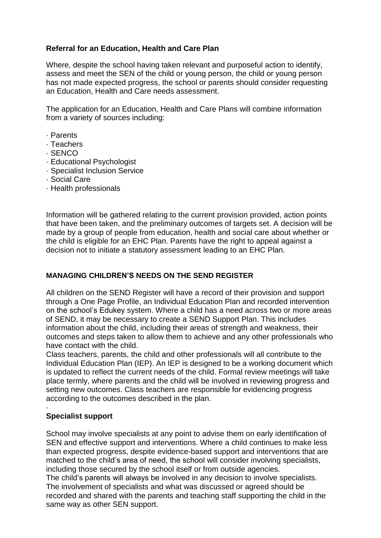### **Referral for an Education, Health and Care Plan**

Where, despite the school having taken relevant and purposeful action to identify, assess and meet the SEN of the child or young person, the child or young person has not made expected progress, the school or parents should consider requesting an Education, Health and Care needs assessment.

The application for an Education, Health and Care Plans will combine information from a variety of sources including:

- · Parents
- · Teachers
- · SENCO
- · Educational Psychologist
- · Specialist Inclusion Service
- · Social Care
- · Health professionals

Information will be gathered relating to the current provision provided, action points that have been taken, and the preliminary outcomes of targets set. A decision will be made by a group of people from education, health and social care about whether or the child is eligible for an EHC Plan. Parents have the right to appeal against a decision not to initiate a statutory assessment leading to an EHC Plan.

#### **MANAGING CHILDREN'S NEEDS ON THE SEND REGISTER**

All children on the SEND Register will have a record of their provision and support through a One Page Profile, an Individual Education Plan and recorded intervention on the school's Edukey system. Where a child has a need across two or more areas of SEND, it may be necessary to create a SEND Support Plan. This includes information about the child, including their areas of strength and weakness, their outcomes and steps taken to allow them to achieve and any other professionals who have contact with the child.

Class teachers, parents, the child and other professionals will all contribute to the Individual Education Plan (IEP). An IEP is designed to be a working document which is updated to reflect the current needs of the child. Formal review meetings will take place termly, where parents and the child will be involved in reviewing progress and setting new outcomes. Class teachers are responsible for evidencing progress according to the outcomes described in the plan.

#### · **Specialist support**

School may involve specialists at any point to advise them on early identification of SEN and effective support and interventions. Where a child continues to make less than expected progress, despite evidence-based support and interventions that are matched to the child's area of need, the school will consider involving specialists, including those secured by the school itself or from outside agencies. The child's parents will always be involved in any decision to involve specialists. The involvement of specialists and what was discussed or agreed should be recorded and shared with the parents and teaching staff supporting the child in the same way as other SEN support.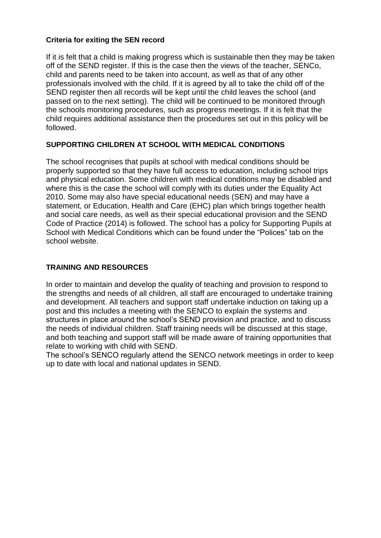#### **Criteria for exiting the SEN record**

If it is felt that a child is making progress which is sustainable then they may be taken off of the SEND register. If this is the case then the views of the teacher, SENCo, child and parents need to be taken into account, as well as that of any other professionals involved with the child. If it is agreed by all to take the child off of the SEND register then all records will be kept until the child leaves the school (and passed on to the next setting). The child will be continued to be monitored through the schools monitoring procedures, such as progress meetings. If it is felt that the child requires additional assistance then the procedures set out in this policy will be followed.

## **SUPPORTING CHILDREN AT SCHOOL WITH MEDICAL CONDITIONS**

The school recognises that pupils at school with medical conditions should be properly supported so that they have full access to education, including school trips and physical education. Some children with medical conditions may be disabled and where this is the case the school will comply with its duties under the Equality Act 2010. Some may also have special educational needs (SEN) and may have a statement, or Education, Health and Care (EHC) plan which brings together health and social care needs, as well as their special educational provision and the SEND Code of Practice (2014) is followed. The school has a policy for Supporting Pupils at School with Medical Conditions which can be found under the "Polices" tab on the school website.

### **TRAINING AND RESOURCES**

In order to maintain and develop the quality of teaching and provision to respond to the strengths and needs of all children, all staff are encouraged to undertake training and development. All teachers and support staff undertake induction on taking up a post and this includes a meeting with the SENCO to explain the systems and structures in place around the school's SEND provision and practice, and to discuss the needs of individual children. Staff training needs will be discussed at this stage, and both teaching and support staff will be made aware of training opportunities that relate to working with child with SEND.

The school's SENCO regularly attend the SENCO network meetings in order to keep up to date with local and national updates in SEND.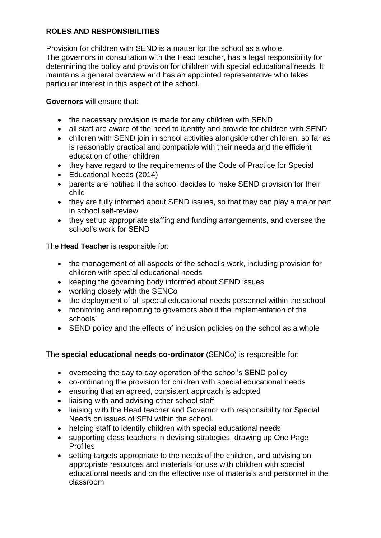## **ROLES AND RESPONSIBILITIES**

Provision for children with SEND is a matter for the school as a whole. The governors in consultation with the Head teacher, has a legal responsibility for determining the policy and provision for children with special educational needs. It maintains a general overview and has an appointed representative who takes particular interest in this aspect of the school.

**Governors** will ensure that:

- the necessary provision is made for any children with SEND
- all staff are aware of the need to identify and provide for children with SEND
- children with SEND join in school activities alongside other children, so far as is reasonably practical and compatible with their needs and the efficient education of other children
- they have regard to the requirements of the Code of Practice for Special
- Educational Needs (2014)
- parents are notified if the school decides to make SEND provision for their child
- they are fully informed about SEND issues, so that they can play a major part in school self-review
- they set up appropriate staffing and funding arrangements, and oversee the school's work for SEND

The **Head Teacher** is responsible for:

- the management of all aspects of the school's work, including provision for children with special educational needs
- keeping the governing body informed about SEND issues
- working closely with the SENCo
- the deployment of all special educational needs personnel within the school
- monitoring and reporting to governors about the implementation of the schools'
- SEND policy and the effects of inclusion policies on the school as a whole

The **special educational needs co-ordinator** (SENCo) is responsible for:

- overseeing the day to day operation of the school's SEND policy
- co-ordinating the provision for children with special educational needs
- ensuring that an agreed, consistent approach is adopted
- liaising with and advising other school staff
- liaising with the Head teacher and Governor with responsibility for Special Needs on issues of SEN within the school.
- helping staff to identify children with special educational needs
- supporting class teachers in devising strategies, drawing up One Page Profiles
- setting targets appropriate to the needs of the children, and advising on appropriate resources and materials for use with children with special educational needs and on the effective use of materials and personnel in the classroom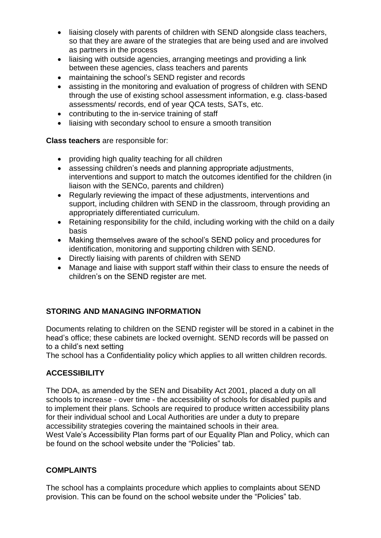- liaising closely with parents of children with SEND alongside class teachers, so that they are aware of the strategies that are being used and are involved as partners in the process
- liaising with outside agencies, arranging meetings and providing a link between these agencies, class teachers and parents
- maintaining the school's SEND register and records
- assisting in the monitoring and evaluation of progress of children with SEND through the use of existing school assessment information, e.g. class-based assessments/ records, end of year QCA tests, SATs, etc.
- contributing to the in-service training of staff
- liaising with secondary school to ensure a smooth transition

## **Class teachers** are responsible for:

- providing high quality teaching for all children
- assessing children's needs and planning appropriate adjustments, interventions and support to match the outcomes identified for the children (in liaison with the SENCo, parents and children)
- Regularly reviewing the impact of these adjustments, interventions and support, including children with SEND in the classroom, through providing an appropriately differentiated curriculum.
- Retaining responsibility for the child, including working with the child on a daily basis
- Making themselves aware of the school's SEND policy and procedures for identification, monitoring and supporting children with SEND.
- Directly liaising with parents of children with SEND
- Manage and liaise with support staff within their class to ensure the needs of children's on the SEND register are met.

## **STORING AND MANAGING INFORMATION**

Documents relating to children on the SEND register will be stored in a cabinet in the head's office; these cabinets are locked overnight. SEND records will be passed on to a child's next setting

The school has a Confidentiality policy which applies to all written children records.

## **ACCESSIBILITY**

The DDA, as amended by the SEN and Disability Act 2001, placed a duty on all schools to increase - over time - the accessibility of schools for disabled pupils and to implement their plans. Schools are required to produce written accessibility plans for their individual school and Local Authorities are under a duty to prepare accessibility strategies covering the maintained schools in their area. West Vale's Accessibility Plan forms part of our Equality Plan and Policy, which can be found on the school website under the "Policies" tab.

## **COMPLAINTS**

The school has a complaints procedure which applies to complaints about SEND provision. This can be found on the school website under the "Policies" tab.